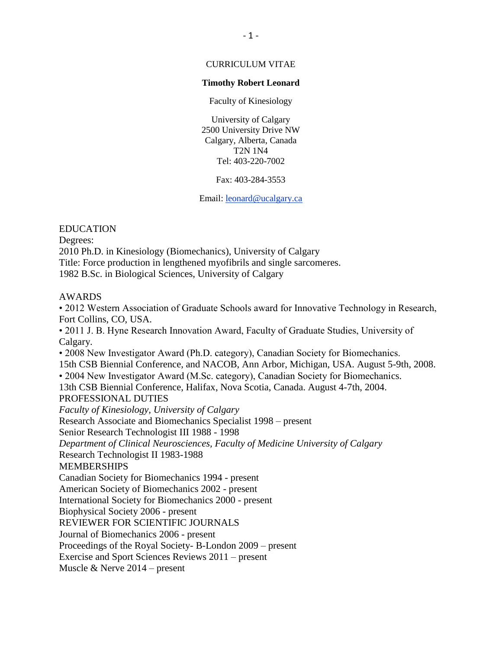# CURRICULUM VITAE

### **Timothy Robert Leonard**

Faculty of Kinesiology

University of Calgary 2500 University Drive NW Calgary, Alberta, Canada T2N 1N4 Tel: 403-220-7002

Fax: 403-284-3553

Email: [leonard@ucalgary.ca](mailto:leonard@ucalgary.ca)

# EDUCATION

Degrees:

2010 Ph.D. in Kinesiology (Biomechanics), University of Calgary Title: Force production in lengthened myofibrils and single sarcomeres.

1982 B.Sc. in Biological Sciences, University of Calgary

# AWARDS

• 2012 Western Association of Graduate Schools award for Innovative Technology in Research, Fort Collins, CO, USA. • 2011 J. B. Hyne Research Innovation Award, Faculty of Graduate Studies, University of Calgary. • 2008 New Investigator Award (Ph.D. category), Canadian Society for Biomechanics. 15th CSB Biennial Conference, and NACOB, Ann Arbor, Michigan, USA. August 5-9th, 2008. • 2004 New Investigator Award (M.Sc. category), Canadian Society for Biomechanics. 13th CSB Biennial Conference, Halifax, Nova Scotia, Canada. August 4-7th, 2004. PROFESSIONAL DUTIES *Faculty of Kinesiology, University of Calgary*  Research Associate and Biomechanics Specialist 1998 – present Senior Research Technologist III 1988 - 1998 *Department of Clinical Neurosciences, Faculty of Medicine University of Calgary*  Research Technologist II 1983-1988 MEMBERSHIPS Canadian Society for Biomechanics 1994 - present American Society of Biomechanics 2002 - present International Society for Biomechanics 2000 - present Biophysical Society 2006 - present REVIEWER FOR SCIENTIFIC JOURNALS Journal of Biomechanics 2006 - present Proceedings of the Royal Society- B-London 2009 – present Exercise and Sport Sciences Reviews 2011 – present

Muscle & Nerve 2014 – present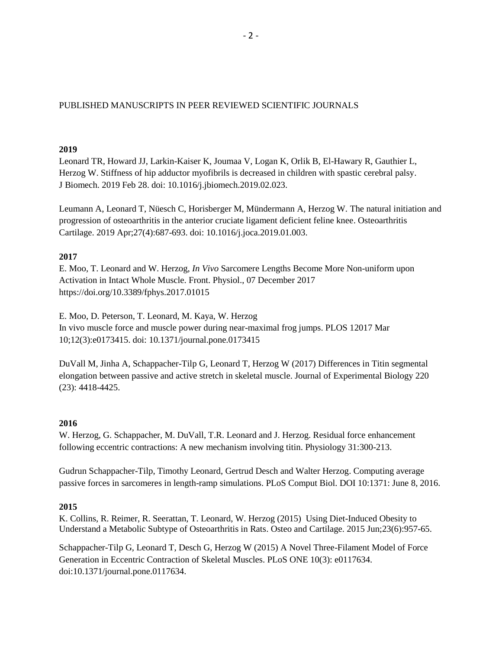# PUBLISHED MANUSCRIPTS IN PEER REVIEWED SCIENTIFIC JOURNALS

### **2019**

Leonard TR, Howard JJ, Larkin-Kaiser K, Joumaa V, Logan K, Orlik B, El-Hawary R, Gauthier L, Herzog W. Stiffness of hip adductor myofibrils is decreased in children with spastic cerebral palsy. J Biomech. 2019 Feb 28. doi: 10.1016/j.jbiomech.2019.02.023.

Leumann A, Leonard T, Nüesch C, Horisberger M, Mündermann A, Herzog W. The natural initiation and progression of osteoarthritis in the anterior cruciate ligament deficient feline knee. Osteoarthritis Cartilage. 2019 Apr;27(4):687-693. doi: 10.1016/j.joca.2019.01.003.

# **2017**

E. Moo, T. Leonard and W. Herzog, *In Vivo* Sarcomere Lengths Become More Non-uniform upon Activation in Intact Whole Muscle. Front. Physiol., 07 December 2017 https://doi.org/10.3389/fphys.2017.01015

E. Moo, D. Peterson, T. Leonard, M. Kaya, W. Herzog In vivo muscle force and muscle power during near-maximal frog jumps. PLOS 12017 Mar 10;12(3):e0173415. doi: 10.1371/journal.pone.0173415

DuVall M, Jinha A, Schappacher-Tilp G, Leonard T, Herzog W (2017) Differences in Titin segmental elongation between passive and active stretch in skeletal muscle. Journal of Experimental Biology 220 (23): 4418-4425.

# **2016**

W. Herzog, G. Schappacher, M. DuVall, T.R. Leonard and J. Herzog. Residual force enhancement following eccentric contractions: A new mechanism involving titin. Physiology 31:300-213.

Gudrun Schappacher-Tilp, Timothy Leonard, Gertrud Desch and Walter Herzog. Computing average passive forces in sarcomeres in length-ramp simulations. PLoS Comput Biol. DOI 10:1371: June 8, 2016.

# **2015**

K. Collins, R. Reimer, R. Seerattan, T. Leonard, W. Herzog (2015) Using Diet-Induced Obesity to Understand a Metabolic Subtype of Osteoarthritis in Rats. Osteo and Cartilage. 2015 Jun;23(6):957-65.

Schappacher-Tilp G, Leonard T, Desch G, Herzog W (2015) A Novel Three-Filament Model of Force Generation in Eccentric Contraction of Skeletal Muscles. PLoS ONE 10(3): e0117634. doi:10.1371/journal.pone.0117634.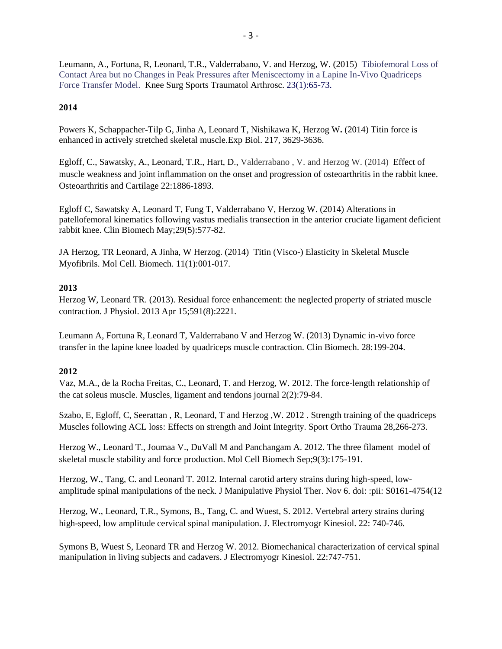Leumann, A., Fortuna, R, Leonard, T.R., Valderrabano, V. and Herzog, W. (2015) Tibiofemoral Loss of Contact Area but no Changes in Peak Pressures after Meniscectomy in a Lapine In-Vivo Quadriceps Force Transfer Model. Knee Surg Sports Traumatol Arthrosc. 23(1):65-73.

# **2014**

Powers K, Schappacher-Tilp G, Jinha A, Leonard T, Nishikawa K, Herzog W**.** (2014) Titin force is enhanced in actively stretched skeletal muscle.Exp Biol. 217, 3629-3636.

Egloff, C., Sawatsky, A., Leonard, T.R., Hart, D., Valderrabano , V. and Herzog W. (2014) Effect of muscle weakness and joint inflammation on the onset and progression of osteoarthritis in the rabbit knee. Osteoarthritis and Cartilage 22:1886-1893.

Egloff C, Sawatsky A, Leonard T, Fung T, Valderrabano V, Herzog W. (2014) Alterations in patellofemoral kinematics following vastus medialis transection in the anterior cruciate ligament deficient rabbit knee. Clin Biomech May;29(5):577-82.

JA Herzog, TR Leonard, A Jinha, W Herzog. (2014) Titin (Visco-) Elasticity in Skeletal Muscle Myofibrils. Mol Cell. Biomech. 11(1):001-017.

# **2013**

Herzog W, Leonard TR. (2013). Residual force enhancement: the neglected property of striated muscle contraction. J Physiol. 2013 Apr 15;591(8):2221.

Leumann A, Fortuna R, Leonard T, Valderrabano V and Herzog W. (2013) Dynamic in-vivo force transfer in the lapine knee loaded by quadriceps muscle contraction. Clin Biomech. 28:199-204.

# **2012**

Vaz, M.A., de la Rocha Freitas, C., Leonard, T. and Herzog, W. 2012. The force-length relationship of the cat soleus muscle. Muscles, ligament and tendons journal 2(2):79-84.

Szabo, E, Egloff, C, Seerattan , R, Leonard, T and Herzog ,W. 2012 . Strength training of the quadriceps Muscles following ACL loss: Effects on strength and Joint Integrity. Sport Ortho Trauma 28,266-273.

Herzog W., Leonard T., Joumaa V., DuVall M and Panchangam A. 2012. The three filament model of skeletal muscle stability and force production. Mol Cell Biomech Sep;9(3):175-191.

Herzog, W., Tang, C. and Leonard T. 2012. Internal carotid artery strains during high-speed, lowamplitude spinal manipulations of the neck. J Manipulative Physiol Ther. Nov 6. doi: :pii: S0161-4754(12

Herzog, W., Leonard, T.R., Symons, B., Tang, C. and Wuest, S. 2012. Vertebral artery strains during high-speed, low amplitude cervical spinal manipulation. J. Electromyogr Kinesiol. 22: 740-746.

Symons B, Wuest S, Leonard TR and Herzog W. 2012. Biomechanical characterization of cervical spinal manipulation in living subjects and cadavers. J Electromyogr Kinesiol. 22:747-751.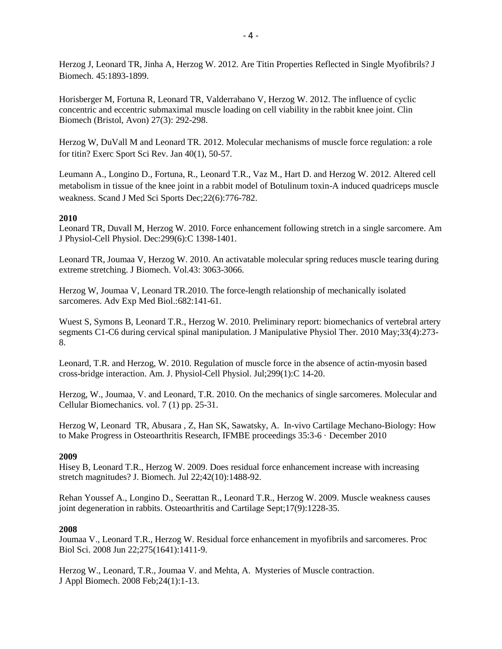Herzog J, Leonard TR, Jinha A, Herzog W. 2012. Are Titin Properties Reflected in Single Myofibrils? J Biomech. 45:1893-1899.

Horisberger M, Fortuna R, Leonard TR, Valderrabano V, Herzog W. 2012. The influence of cyclic concentric and eccentric submaximal muscle loading on cell viability in the rabbit knee joint. Clin Biomech (Bristol, Avon) 27(3): 292-298.

Herzog W, DuVall M and Leonard TR. 2012. Molecular mechanisms of muscle force regulation: a role for titin? Exerc Sport Sci Rev. Jan 40(1), 50-57.

Leumann A., Longino D., Fortuna, R., Leonard T.R., Vaz M., Hart D. and Herzog W. 2012. Altered cell metabolism in tissue of the knee joint in a rabbit model of Botulinum toxin-A induced quadriceps muscle weakness. Scand J Med Sci Sports Dec;22(6):776-782.

# **2010**

Leonard TR, Duvall M, Herzog W. 2010. Force enhancement following stretch in a single sarcomere. Am J Physiol-Cell Physiol. Dec:299(6):C 1398-1401.

Leonard TR, Joumaa V, Herzog W. 2010. An activatable molecular spring reduces muscle tearing during extreme stretching. J Biomech. Vol.43: 3063-3066.

Herzog W, Joumaa V, Leonard TR.2010. The force-length relationship of mechanically isolated sarcomeres. Adv Exp Med Biol.:682:141-61.

Wuest S, Symons B, Leonard T.R., Herzog W. 2010. Preliminary report: biomechanics of vertebral artery segments C1-C6 during cervical spinal manipulation. J Manipulative Physiol Ther. 2010 May;33(4):273- 8.

Leonard, T.R. and Herzog, W. 2010. Regulation of muscle force in the absence of actin-myosin based cross-bridge interaction. Am. J. Physiol-Cell Physiol. Jul;299(1):C 14-20.

Herzog, W., Joumaa, V. and Leonard, T.R. 2010. On the mechanics of single sarcomeres. Molecular and Cellular Biomechanics. vol. 7 (1) pp. 25-31.

Herzog W, Leonard TR, Abusara , Z, Han SK, Sawatsky, A. In-vivo Cartilage Mechano-Biology: How to Make Progress in Osteoarthritis Research, IFMBE proceedings 35:3-6 · December 2010

# **2009**

Hisey B, Leonard T.R., Herzog W. 2009. Does residual force enhancement increase with increasing stretch magnitudes? J. Biomech. Jul 22;42(10):1488-92.

Rehan Youssef A., Longino D., Seerattan R., Leonard T.R., Herzog W. 2009. Muscle weakness causes joint degeneration in rabbits. Osteoarthritis and Cartilage Sept;17(9):1228-35.

#### **2008**

Joumaa V., Leonard T.R., Herzog W. Residual force enhancement in myofibrils and sarcomeres. Proc Biol Sci. 2008 Jun 22;275(1641):1411-9.

Herzog W., Leonard, T.R., Joumaa V. and Mehta, A. Mysteries of Muscle contraction. J Appl Biomech. 2008 Feb;24(1):1-13.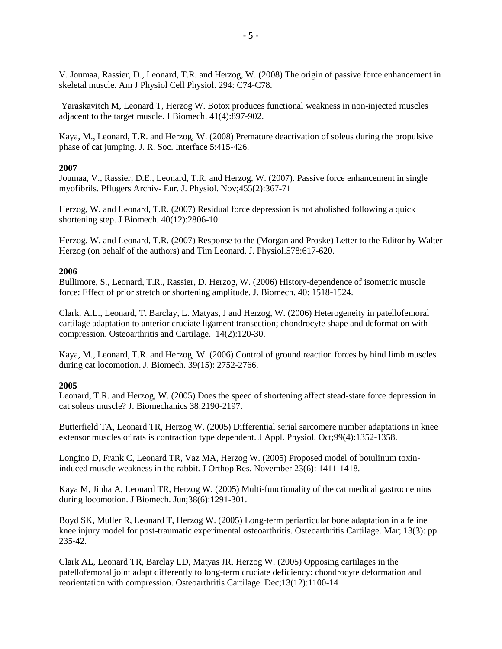V. Joumaa, Rassier, D., Leonard, T.R. and Herzog, W. (2008) The origin of passive force enhancement in skeletal muscle. Am J Physiol Cell Physiol. 294: C74-C78.

Yaraskavitch M, Leonard T, Herzog W. Botox produces functional weakness in non-injected muscles adjacent to the target muscle. J Biomech. 41(4):897-902.

Kaya, M., Leonard, T.R. and Herzog, W. (2008) Premature deactivation of soleus during the propulsive phase of cat jumping. J. R. Soc. Interface 5:415-426.

### **2007**

Joumaa, V., Rassier, D.E., Leonard, T.R. and Herzog, W. (2007). Passive force enhancement in single myofibrils. Pflugers Archiv- Eur. J. Physiol. Nov;455(2):367-71

Herzog, W. and Leonard, T.R. (2007) Residual force depression is not abolished following a quick shortening step. J Biomech. 40(12):2806-10.

Herzog, W. and Leonard, T.R. (2007) Response to the (Morgan and Proske) Letter to the Editor by Walter Herzog (on behalf of the authors) and Tim Leonard. J. Physiol.578:617-620.

#### **2006**

Bullimore, S., Leonard, T.R., Rassier, D. Herzog, W. (2006) History-dependence of isometric muscle force: Effect of prior stretch or shortening amplitude. J. Biomech. 40: 1518-1524.

Clark, A.L., Leonard, T. Barclay, L. Matyas, J and Herzog, W. (2006) Heterogeneity in patellofemoral cartilage adaptation to anterior cruciate ligament transection; chondrocyte shape and deformation with compression. Osteoarthritis and Cartilage. 14(2):120-30.

Kaya, M., Leonard, T.R. and Herzog, W. (2006) Control of ground reaction forces by hind limb muscles during cat locomotion. J. Biomech. 39(15): 2752-2766.

# **2005**

Leonard, T.R. and Herzog, W. (2005) Does the speed of shortening affect stead-state force depression in cat soleus muscle? J. Biomechanics 38:2190-2197.

Butterfield TA, Leonard TR, Herzog W. (2005) Differential serial sarcomere number adaptations in knee extensor muscles of rats is contraction type dependent. J Appl. Physiol. Oct;99(4):1352-1358.

Longino D, Frank C, Leonard TR, Vaz MA, Herzog W. (2005) Proposed model of botulinum toxininduced muscle weakness in the rabbit. J Orthop Res. November 23(6): 1411-1418.

Kaya M, Jinha A, Leonard TR, Herzog W. (2005) Multi-functionality of the cat medical gastrocnemius during locomotion. J Biomech. Jun;38(6):1291-301.

Boyd SK, Muller R, Leonard T, Herzog W. (2005) Long-term periarticular bone adaptation in a feline knee injury model for post-traumatic experimental osteoarthritis. Osteoarthritis Cartilage. Mar; 13(3): pp. 235-42.

Clark AL, Leonard TR, Barclay LD, Matyas JR, Herzog W. (2005) Opposing cartilages in the patellofemoral joint adapt differently to long-term cruciate deficiency: chondrocyte deformation and reorientation with compression. Osteoarthritis Cartilage. Dec;13(12):1100-14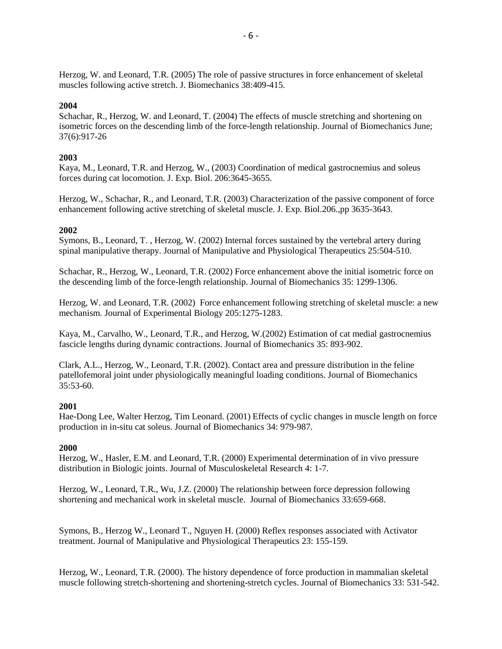Herzog, W. and Leonard, T.R. (2005) The role of passive structures in force enhancement of skeletal muscles following active stretch. J. Biomechanics 38:409-415.

# **2004**

Schachar, R., Herzog, W. and Leonard, T. (2004) The effects of muscle stretching and shortening on isometric forces on the descending limb of the force-length relationship. Journal of Biomechanics June; 37(6):917-26

### **2003**

Kaya, M., Leonard, T.R. and Herzog, W., (2003) Coordination of medical gastrocnemius and soleus forces during cat locomotion. J. Exp. Biol. 206:3645-3655.

Herzog, W., Schachar, R., and Leonard, T.R. (2003) Characterization of the passive component of force enhancement following active stretching of skeletal muscle. J. Exp. Biol.206.,pp 3635-3643.

### **2002**

Symons, B., Leonard, T. , Herzog, W. (2002) Internal forces sustained by the vertebral artery during spinal manipulative therapy. Journal of Manipulative and Physiological Therapeutics 25:504-510.

Schachar, R., Herzog, W., Leonard, T.R. (2002) Force enhancement above the initial isometric force on the descending limb of the force-length relationship. Journal of Biomechanics 35: 1299-1306.

Herzog, W. and Leonard, T.R. (2002) Force enhancement following stretching of skeletal muscle: a new mechanism. Journal of Experimental Biology 205:1275-1283.

Kaya, M., Carvalho, W., Leonard, T.R., and Herzog, W.(2002) Estimation of cat medial gastrocnemius fascicle lengths during dynamic contractions. Journal of Biomechanics 35: 893-902.

Clark, A.L., Herzog, W., Leonard, T.R. (2002). Contact area and pressure distribution in the feline patellofemoral joint under physiologically meaningful loading conditions. Journal of Biomechanics 35:53-60.

# **2001**

Hae-Dong Lee, Walter Herzog, Tim Leonard. (2001) Effects of cyclic changes in muscle length on force production in in-situ cat soleus. Journal of Biomechanics 34: 979-987.

#### **2000**

Herzog, W., Hasler, E.M. and Leonard, T.R. (2000) Experimental determination of in vivo pressure distribution in Biologic joints. Journal of Musculoskeletal Research 4: 1-7.

Herzog, W., Leonard, T.R., Wu, J.Z. (2000) The relationship between force depression following shortening and mechanical work in skeletal muscle. Journal of Biomechanics 33:659-668.

Symons, B., Herzog W., Leonard T., Nguyen H. (2000) Reflex responses associated with Activator treatment. Journal of Manipulative and Physiological Therapeutics 23: 155-159.

Herzog, W., Leonard, T.R. (2000). The history dependence of force production in mammalian skeletal muscle following stretch-shortening and shortening-stretch cycles. Journal of Biomechanics 33: 531-542.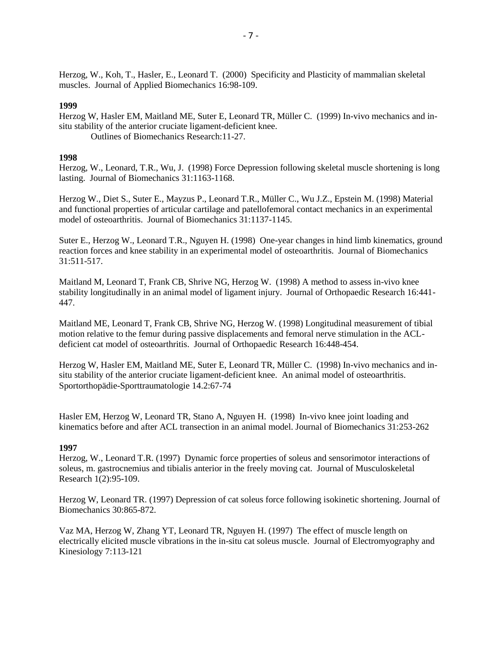Herzog, W., Koh, T., Hasler, E., Leonard T. (2000) Specificity and Plasticity of mammalian skeletal muscles. Journal of Applied Biomechanics 16:98-109.

#### **1999**

Herzog W, Hasler EM, Maitland ME, Suter E, Leonard TR, Müller C. (1999) In-vivo mechanics and insitu stability of the anterior cruciate ligament-deficient knee. Outlines of Biomechanics Research:11-27.

#### **1998**

Herzog, W., Leonard, T.R., Wu, J. (1998) Force Depression following skeletal muscle shortening is long lasting. Journal of Biomechanics 31:1163-1168.

Herzog W., Diet S., Suter E., Mayzus P., Leonard T.R., Müller C., Wu J.Z., Epstein M. (1998) Material and functional properties of articular cartilage and patellofemoral contact mechanics in an experimental model of osteoarthritis. Journal of Biomechanics 31:1137-1145.

Suter E., Herzog W., Leonard T.R., Nguyen H. (1998) One-year changes in hind limb kinematics, ground reaction forces and knee stability in an experimental model of osteoarthritis. Journal of Biomechanics 31:511-517.

Maitland M, Leonard T, Frank CB, Shrive NG, Herzog W. (1998) A method to assess in-vivo knee stability longitudinally in an animal model of ligament injury. Journal of Orthopaedic Research 16:441- 447.

Maitland ME, Leonard T, Frank CB, Shrive NG, Herzog W. (1998) Longitudinal measurement of tibial motion relative to the femur during passive displacements and femoral nerve stimulation in the ACLdeficient cat model of osteoarthritis. Journal of Orthopaedic Research 16:448-454.

Herzog W, Hasler EM, Maitland ME, Suter E, Leonard TR, Müller C. (1998) In-vivo mechanics and insitu stability of the anterior cruciate ligament-deficient knee. An animal model of osteoarthritis. Sportorthopädie-Sporttraumatologie 14.2:67-74

Hasler EM, Herzog W, Leonard TR, Stano A, Nguyen H. (1998) In-vivo knee joint loading and kinematics before and after ACL transection in an animal model. Journal of Biomechanics 31:253-262

# **1997**

Herzog, W., Leonard T.R. (1997) Dynamic force properties of soleus and sensorimotor interactions of soleus, m. gastrocnemius and tibialis anterior in the freely moving cat. Journal of Musculoskeletal Research 1(2):95-109.

Herzog W, Leonard TR. (1997) Depression of cat soleus force following isokinetic shortening. Journal of Biomechanics 30:865-872.

Vaz MA, Herzog W, Zhang YT, Leonard TR, Nguyen H. (1997) The effect of muscle length on electrically elicited muscle vibrations in the in-situ cat soleus muscle. Journal of Electromyography and Kinesiology 7:113-121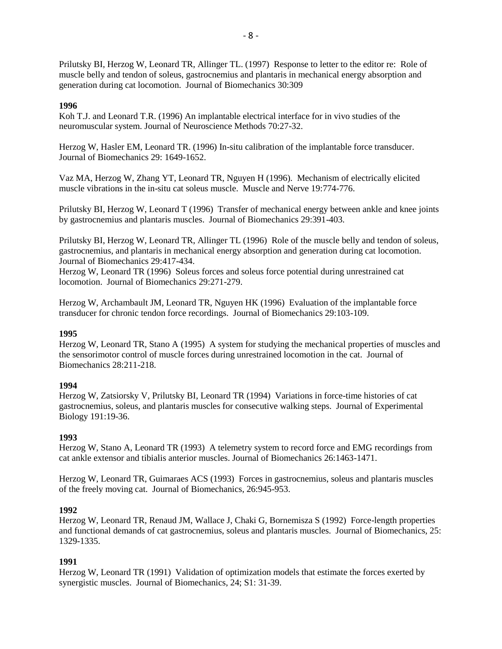Prilutsky BI, Herzog W, Leonard TR, Allinger TL. (1997) Response to letter to the editor re: Role of muscle belly and tendon of soleus, gastrocnemius and plantaris in mechanical energy absorption and generation during cat locomotion. Journal of Biomechanics 30:309

### **1996**

Koh T.J. and Leonard T.R. (1996) An implantable electrical interface for in vivo studies of the neuromuscular system. Journal of Neuroscience Methods 70:27-32.

Herzog W, Hasler EM, Leonard TR. (1996) In-situ calibration of the implantable force transducer. Journal of Biomechanics 29: 1649-1652.

Vaz MA, Herzog W, Zhang YT, Leonard TR, Nguyen H (1996). Mechanism of electrically elicited muscle vibrations in the in-situ cat soleus muscle. Muscle and Nerve 19:774-776.

Prilutsky BI, Herzog W, Leonard T (1996) Transfer of mechanical energy between ankle and knee joints by gastrocnemius and plantaris muscles. Journal of Biomechanics 29:391-403.

Prilutsky BI, Herzog W, Leonard TR, Allinger TL (1996) Role of the muscle belly and tendon of soleus, gastrocnemius, and plantaris in mechanical energy absorption and generation during cat locomotion. Journal of Biomechanics 29:417-434.

Herzog W, Leonard TR (1996) Soleus forces and soleus force potential during unrestrained cat locomotion. Journal of Biomechanics 29:271-279.

Herzog W, Archambault JM, Leonard TR, Nguyen HK (1996) Evaluation of the implantable force transducer for chronic tendon force recordings. Journal of Biomechanics 29:103-109.

#### **1995**

Herzog W, Leonard TR, Stano A (1995) A system for studying the mechanical properties of muscles and the sensorimotor control of muscle forces during unrestrained locomotion in the cat. Journal of Biomechanics 28:211-218.

#### **1994**

Herzog W, Zatsiorsky V, Prilutsky BI, Leonard TR (1994) Variations in force-time histories of cat gastrocnemius, soleus, and plantaris muscles for consecutive walking steps. Journal of Experimental Biology 191:19-36.

# **1993**

Herzog W, Stano A, Leonard TR (1993) A telemetry system to record force and EMG recordings from cat ankle extensor and tibialis anterior muscles. Journal of Biomechanics 26:1463-1471.

Herzog W, Leonard TR, Guimaraes ACS (1993) Forces in gastrocnemius, soleus and plantaris muscles of the freely moving cat. Journal of Biomechanics, 26:945-953.

#### **1992**

Herzog W, Leonard TR, Renaud JM, Wallace J, Chaki G, Bornemisza S (1992) Force-length properties and functional demands of cat gastrocnemius, soleus and plantaris muscles. Journal of Biomechanics, 25: 1329-1335.

# **1991**

Herzog W, Leonard TR (1991) Validation of optimization models that estimate the forces exerted by synergistic muscles. Journal of Biomechanics, 24; S1: 31-39.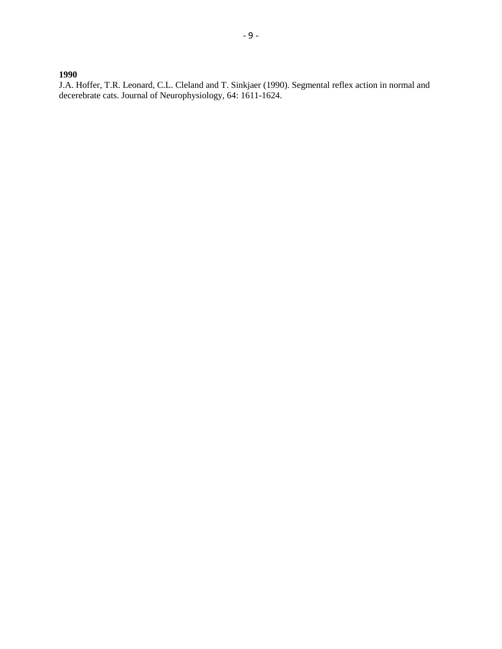**1990**

J.A. Hoffer, T.R. Leonard, C.L. Cleland and T. Sinkjaer (1990). Segmental reflex action in normal and decerebrate cats. Journal of Neurophysiology, 64: 1611-1624.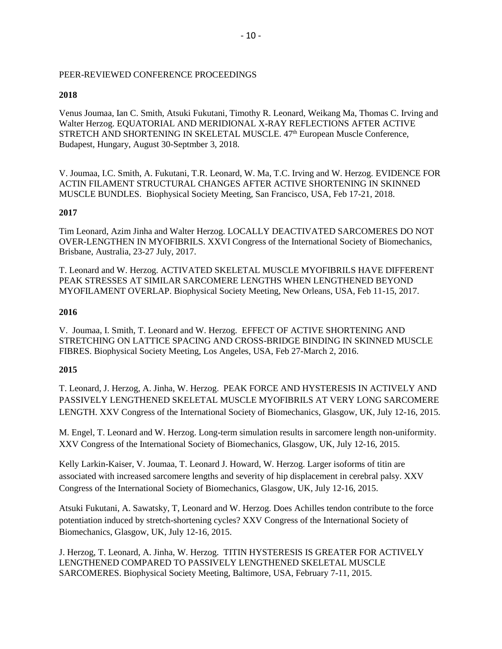# PEER-REVIEWED CONFERENCE PROCEEDINGS

# **2018**

Venus Joumaa, Ian C. Smith, Atsuki Fukutani, Timothy R. Leonard, Weikang Ma, Thomas C. Irving and Walter Herzog. EQUATORIAL AND MERIDIONAL X-RAY REFLECTIONS AFTER ACTIVE STRETCH AND SHORTENING IN SKELETAL MUSCLE. 47<sup>th</sup> European Muscle Conference, Budapest, Hungary, August 30-Septmber 3, 2018.

V. Joumaa, I.C. Smith, A. Fukutani, T.R. Leonard, W. Ma, T.C. Irving and W. Herzog. EVIDENCE FOR ACTIN FILAMENT STRUCTURAL CHANGES AFTER ACTIVE SHORTENING IN SKINNED MUSCLE BUNDLES. Biophysical Society Meeting, San Francisco, USA, Feb 17-21, 2018.

# **2017**

Tim Leonard, Azim Jinha and Walter Herzog. LOCALLY DEACTIVATED SARCOMERES DO NOT OVER-LENGTHEN IN MYOFIBRILS. XXVI Congress of the International Society of Biomechanics, Brisbane, Australia, 23-27 July, 2017.

T. Leonard and W. Herzog. ACTIVATED SKELETAL MUSCLE MYOFIBRILS HAVE DIFFERENT PEAK STRESSES AT SIMILAR SARCOMERE LENGTHS WHEN LENGTHENED BEYOND MYOFILAMENT OVERLAP. Biophysical Society Meeting, New Orleans, USA, Feb 11-15, 2017.

# **2016**

V. Joumaa, I. Smith, T. Leonard and W. Herzog. EFFECT OF ACTIVE SHORTENING AND STRETCHING ON LATTICE SPACING AND CROSS-BRIDGE BINDING IN SKINNED MUSCLE FIBRES. Biophysical Society Meeting, Los Angeles, USA, Feb 27-March 2, 2016.

# **2015**

T. Leonard, J. Herzog, A. Jinha, W. Herzog. PEAK FORCE AND HYSTERESIS IN ACTIVELY AND PASSIVELY LENGTHENED SKELETAL MUSCLE MYOFIBRILS AT VERY LONG SARCOMERE LENGTH. XXV Congress of the International Society of Biomechanics, Glasgow, UK, July 12-16, 2015.

M. Engel, T. Leonard and W. Herzog. Long-term simulation results in sarcomere length non-uniformity. XXV Congress of the International Society of Biomechanics, Glasgow, UK, July 12-16, 2015.

Kelly Larkin-Kaiser, V. Joumaa, T. Leonard J. Howard, W. Herzog. Larger isoforms of titin are associated with increased sarcomere lengths and severity of hip displacement in cerebral palsy. XXV Congress of the International Society of Biomechanics, Glasgow, UK, July 12-16, 2015.

Atsuki Fukutani, A. Sawatsky, T, Leonard and W. Herzog. Does Achilles tendon contribute to the force potentiation induced by stretch-shortening cycles? XXV Congress of the International Society of Biomechanics, Glasgow, UK, July 12-16, 2015.

J. Herzog, T. Leonard, A. Jinha, W. Herzog. TITIN HYSTERESIS IS GREATER FOR ACTIVELY LENGTHENED COMPARED TO PASSIVELY LENGTHENED SKELETAL MUSCLE SARCOMERES. Biophysical Society Meeting, Baltimore, USA, February 7-11, 2015.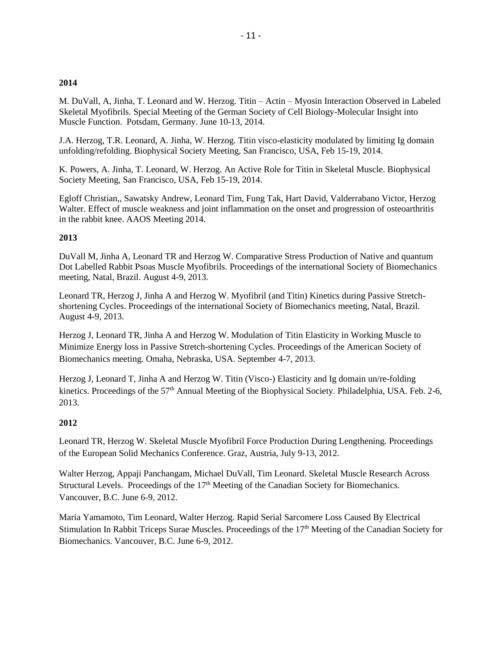# **2014**

M. DuVall, A, Jinha, T. Leonard and W. Herzog. Titin – Actin – Myosin Interaction Observed in Labeled Skeletal Myofibrils. Special Meeting of the German Society of Cell Biology-Molecular Insight into Muscle Function. Potsdam, Germany. June 10-13, 2014.

J.A. Herzog, T.R. Leonard, A. Jinha, W. Herzog. Titin visco-elasticity modulated by limiting Ig domain unfolding/refolding. Biophysical Society Meeting, San Francisco, USA, Feb 15-19, 2014.

K. Powers, A. Jinha, T. Leonard, W. Herzog. An Active Role for Titin in Skeletal Muscle. Biophysical Society Meeting, San Francisco, USA, Feb 15-19, 2014.

Egloff Christian,, Sawatsky Andrew, Leonard Tim, Fung Tak, Hart David, Valderrabano Victor, Herzog Walter. Effect of muscle weakness and joint inflammation on the onset and progression of osteoarthritis in the rabbit knee. AAOS Meeting 2014.

# **2013**

DuVall M, Jinha A, Leonard TR and Herzog W. Comparative Stress Production of Native and quantum Dot Labelled Rabbit Psoas Muscle Myofibrils. Proceedings of the international Society of Biomechanics meeting, Natal, Brazil. August 4-9, 2013.

Leonard TR, Herzog J, Jinha A and Herzog W. Myofibril (and Titin) Kinetics during Passive Stretchshortening Cycles. Proceedings of the international Society of Biomechanics meeting, Natal, Brazil. August 4-9, 2013.

Herzog J, Leonard TR, Jinha A and Herzog W. Modulation of Titin Elasticity in Working Muscle to Minimize Energy loss in Passive Stretch-shortening Cycles. Proceedings of the American Society of Biomechanics meeting. Omaha, Nebraska, USA. September 4-7, 2013.

Herzog J, Leonard T, Jinha A and Herzog W. Titin (Visco-) Elasticity and Ig domain un/re-folding kinetics. Proceedings of the 57<sup>th</sup> Annual Meeting of the Biophysical Society. Philadelphia, USA. Feb. 2-6, 2013.

# **2012**

Leonard TR, Herzog W. Skeletal Muscle Myofibril Force Production During Lengthening. Proceedings of the European Solid Mechanics Conference. Graz, Austria, July 9-13, 2012.

Walter Herzog, Appaji Panchangam, Michael DuVall, Tim Leonard. Skeletal Muscle Research Across Structural Levels. Proceedings of the  $17<sup>th</sup>$  Meeting of the Canadian Society for Biomechanics. Vancouver, B.C. June 6-9, 2012.

Maria Yamamoto, Tim Leonard, Walter Herzog. Rapid Serial Sarcomere Loss Caused By Electrical Stimulation In Rabbit Triceps Surae Muscles. Proceedings of the 17<sup>th</sup> Meeting of the Canadian Society for Biomechanics. Vancouver, B.C. June 6-9, 2012.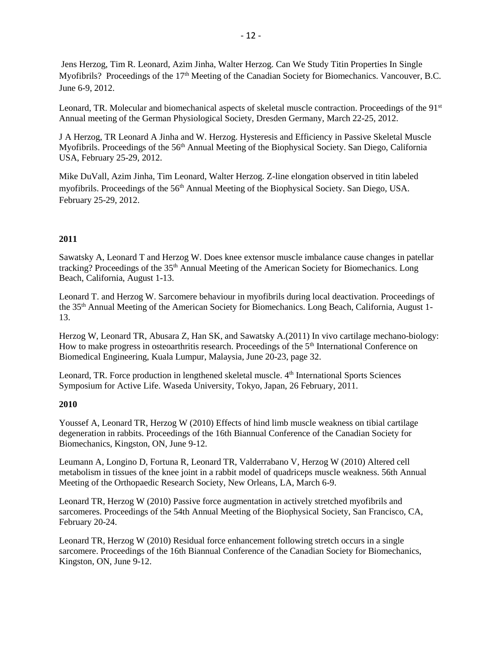Jens Herzog, Tim R. Leonard, Azim Jinha, Walter Herzog. Can We Study Titin Properties In Single Myofibrils? Proceedings of the 17<sup>th</sup> Meeting of the Canadian Society for Biomechanics. Vancouver, B.C. June 6-9, 2012.

Leonard, TR. Molecular and biomechanical aspects of skeletal muscle contraction. Proceedings of the 91<sup>st</sup> Annual meeting of the German Physiological Society, Dresden Germany, March 22-25, 2012.

J A Herzog, TR Leonard A Jinha and W. Herzog. Hysteresis and Efficiency in Passive Skeletal Muscle Myofibrils. Proceedings of the 56<sup>th</sup> Annual Meeting of the Biophysical Society. San Diego, California USA, February 25-29, 2012.

Mike DuVall, Azim Jinha, Tim Leonard, Walter Herzog. Z-line elongation observed in titin labeled myofibrils. Proceedings of the 56th Annual Meeting of the Biophysical Society. San Diego, USA. February 25-29, 2012.

# **2011**

Sawatsky A, Leonard T and Herzog W. Does knee extensor muscle imbalance cause changes in patellar tracking? Proceedings of the 35th Annual Meeting of the American Society for Biomechanics. Long Beach, California, August 1-13.

Leonard T. and Herzog W. Sarcomere behaviour in myofibrils during local deactivation. Proceedings of the 35th Annual Meeting of the American Society for Biomechanics. Long Beach, California, August 1- 13.

Herzog W, Leonard TR, Abusara Z, Han SK, and Sawatsky A.(2011) In vivo cartilage mechano-biology: How to make progress in osteoarthritis research. Proceedings of the 5<sup>th</sup> International Conference on Biomedical Engineering, Kuala Lumpur, Malaysia, June 20-23, page 32.

Leonard, TR. Force production in lengthened skeletal muscle. 4<sup>th</sup> International Sports Sciences Symposium for Active Life. Waseda University, Tokyo, Japan, 26 February, 2011.

# **2010**

Youssef A, Leonard TR, Herzog W (2010) Effects of hind limb muscle weakness on tibial cartilage degeneration in rabbits. Proceedings of the 16th Biannual Conference of the Canadian Society for Biomechanics, Kingston, ON, June 9-12.

Leumann A, Longino D, Fortuna R, Leonard TR, Valderrabano V, Herzog W (2010) Altered cell metabolism in tissues of the knee joint in a rabbit model of quadriceps muscle weakness. 56th Annual Meeting of the Orthopaedic Research Society, New Orleans, LA, March 6-9.

Leonard TR, Herzog W (2010) Passive force augmentation in actively stretched myofibrils and sarcomeres. Proceedings of the 54th Annual Meeting of the Biophysical Society, San Francisco, CA, February 20-24.

Leonard TR, Herzog W (2010) Residual force enhancement following stretch occurs in a single sarcomere. Proceedings of the 16th Biannual Conference of the Canadian Society for Biomechanics, Kingston, ON, June 9-12.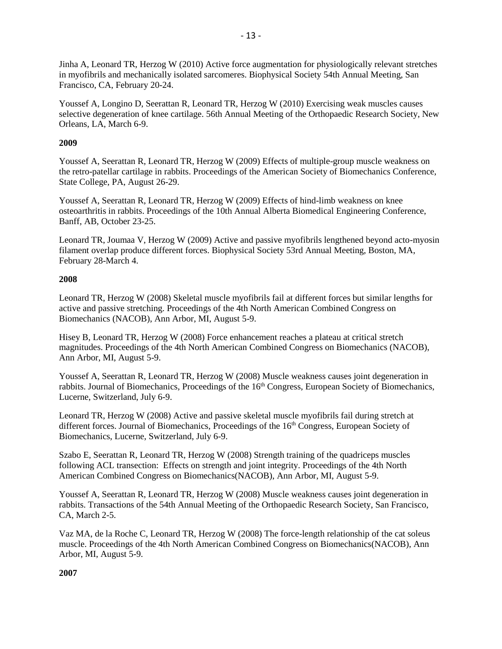Jinha A, Leonard TR, Herzog W (2010) Active force augmentation for physiologically relevant stretches in myofibrils and mechanically isolated sarcomeres. Biophysical Society 54th Annual Meeting, San Francisco, CA, February 20-24.

Youssef A, Longino D, Seerattan R, Leonard TR, Herzog W (2010) Exercising weak muscles causes selective degeneration of knee cartilage. 56th Annual Meeting of the Orthopaedic Research Society, New Orleans, LA, March 6-9.

# **2009**

Youssef A, Seerattan R, Leonard TR, Herzog W (2009) Effects of multiple-group muscle weakness on the retro-patellar cartilage in rabbits. Proceedings of the American Society of Biomechanics Conference, State College, PA, August 26-29.

Youssef A, Seerattan R, Leonard TR, Herzog W (2009) Effects of hind-limb weakness on knee osteoarthritis in rabbits. Proceedings of the 10th Annual Alberta Biomedical Engineering Conference, Banff, AB, October 23-25.

Leonard TR, Joumaa V, Herzog W (2009) Active and passive myofibrils lengthened beyond acto-myosin filament overlap produce different forces. Biophysical Society 53rd Annual Meeting, Boston, MA, February 28-March 4.

# **2008**

Leonard TR, Herzog W (2008) Skeletal muscle myofibrils fail at different forces but similar lengths for active and passive stretching. Proceedings of the 4th North American Combined Congress on Biomechanics (NACOB), Ann Arbor, MI, August 5-9.

Hisey B, Leonard TR, Herzog W (2008) Force enhancement reaches a plateau at critical stretch magnitudes. Proceedings of the 4th North American Combined Congress on Biomechanics (NACOB), Ann Arbor, MI, August 5-9.

Youssef A, Seerattan R, Leonard TR, Herzog W (2008) Muscle weakness causes joint degeneration in rabbits. Journal of Biomechanics, Proceedings of the 16<sup>th</sup> Congress, European Society of Biomechanics, Lucerne, Switzerland, July 6-9.

Leonard TR, Herzog W (2008) Active and passive skeletal muscle myofibrils fail during stretch at different forces. Journal of Biomechanics, Proceedings of the 16<sup>th</sup> Congress, European Society of Biomechanics, Lucerne, Switzerland, July 6-9.

Szabo E, Seerattan R, Leonard TR, Herzog W (2008) Strength training of the quadriceps muscles following ACL transection: Effects on strength and joint integrity. Proceedings of the 4th North American Combined Congress on Biomechanics(NACOB), Ann Arbor, MI, August 5-9.

Youssef A, Seerattan R, Leonard TR, Herzog W (2008) Muscle weakness causes joint degeneration in rabbits. Transactions of the 54th Annual Meeting of the Orthopaedic Research Society, San Francisco, CA, March 2-5.

Vaz MA, de la Roche C, Leonard TR, Herzog W (2008) The force-length relationship of the cat soleus muscle. Proceedings of the 4th North American Combined Congress on Biomechanics(NACOB), Ann Arbor, MI, August 5-9.

**2007**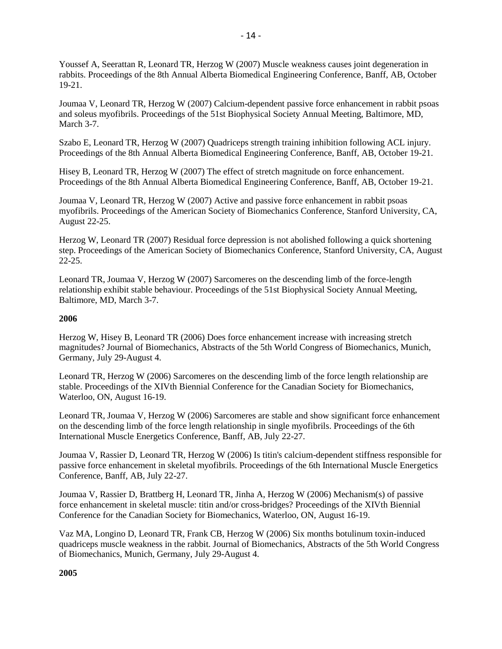Youssef A, Seerattan R, Leonard TR, Herzog W (2007) Muscle weakness causes joint degeneration in rabbits. Proceedings of the 8th Annual Alberta Biomedical Engineering Conference, Banff, AB, October 19-21.

Joumaa V, Leonard TR, Herzog W (2007) Calcium-dependent passive force enhancement in rabbit psoas and soleus myofibrils. Proceedings of the 51st Biophysical Society Annual Meeting, Baltimore, MD, March 3-7.

Szabo E, Leonard TR, Herzog W (2007) Quadriceps strength training inhibition following ACL injury. Proceedings of the 8th Annual Alberta Biomedical Engineering Conference, Banff, AB, October 19-21.

Hisey B, Leonard TR, Herzog W (2007) The effect of stretch magnitude on force enhancement. Proceedings of the 8th Annual Alberta Biomedical Engineering Conference, Banff, AB, October 19-21.

Joumaa V, Leonard TR, Herzog W (2007) Active and passive force enhancement in rabbit psoas myofibrils. Proceedings of the American Society of Biomechanics Conference, Stanford University, CA, August 22-25.

Herzog W, Leonard TR (2007) Residual force depression is not abolished following a quick shortening step. Proceedings of the American Society of Biomechanics Conference, Stanford University, CA, August 22-25.

Leonard TR, Joumaa V, Herzog W (2007) Sarcomeres on the descending limb of the force-length relationship exhibit stable behaviour. Proceedings of the 51st Biophysical Society Annual Meeting, Baltimore, MD, March 3-7.

# **2006**

Herzog W, Hisey B, Leonard TR (2006) Does force enhancement increase with increasing stretch magnitudes? Journal of Biomechanics, Abstracts of the 5th World Congress of Biomechanics, Munich, Germany, July 29-August 4.

Leonard TR, Herzog W (2006) Sarcomeres on the descending limb of the force length relationship are stable. Proceedings of the XIVth Biennial Conference for the Canadian Society for Biomechanics, Waterloo, ON, August 16-19.

Leonard TR, Joumaa V, Herzog W (2006) Sarcomeres are stable and show significant force enhancement on the descending limb of the force length relationship in single myofibrils. Proceedings of the 6th International Muscle Energetics Conference, Banff, AB, July 22-27.

Joumaa V, Rassier D, Leonard TR, Herzog W (2006) Is titin's calcium-dependent stiffness responsible for passive force enhancement in skeletal myofibrils. Proceedings of the 6th International Muscle Energetics Conference, Banff, AB, July 22-27.

Joumaa V, Rassier D, Brattberg H, Leonard TR, Jinha A, Herzog W (2006) Mechanism(s) of passive force enhancement in skeletal muscle: titin and/or cross-bridges? Proceedings of the XIVth Biennial Conference for the Canadian Society for Biomechanics, Waterloo, ON, August 16-19.

Vaz MA, Longino D, Leonard TR, Frank CB, Herzog W (2006) Six months botulinum toxin-induced quadriceps muscle weakness in the rabbit. Journal of Biomechanics, Abstracts of the 5th World Congress of Biomechanics, Munich, Germany, July 29-August 4.

**2005**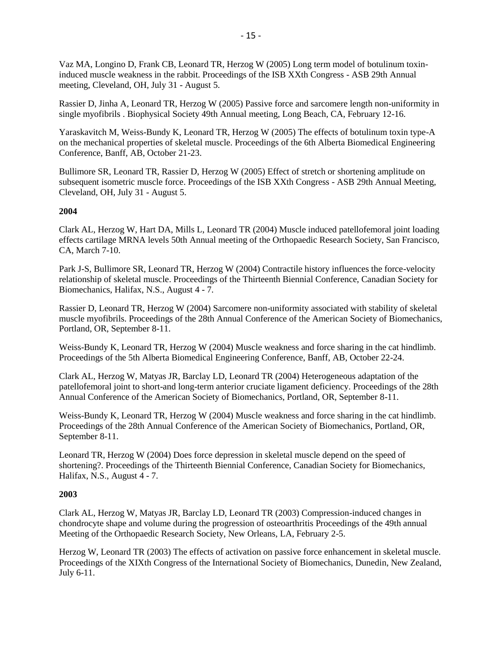Vaz MA, Longino D, Frank CB, Leonard TR, Herzog W (2005) Long term model of botulinum toxininduced muscle weakness in the rabbit. Proceedings of the ISB XXth Congress - ASB 29th Annual meeting, Cleveland, OH, July 31 - August 5.

Rassier D, Jinha A, Leonard TR, Herzog W (2005) Passive force and sarcomere length non-uniformity in single myofibrils . Biophysical Society 49th Annual meeting, Long Beach, CA, February 12-16.

Yaraskavitch M, Weiss-Bundy K, Leonard TR, Herzog W (2005) The effects of botulinum toxin type-A on the mechanical properties of skeletal muscle. Proceedings of the 6th Alberta Biomedical Engineering Conference, Banff, AB, October 21-23.

Bullimore SR, Leonard TR, Rassier D, Herzog W (2005) Effect of stretch or shortening amplitude on subsequent isometric muscle force. Proceedings of the ISB XXth Congress - ASB 29th Annual Meeting, Cleveland, OH, July 31 - August 5.

# **2004**

Clark AL, Herzog W, Hart DA, Mills L, Leonard TR (2004) Muscle induced patellofemoral joint loading effects cartilage MRNA levels 50th Annual meeting of the Orthopaedic Research Society, San Francisco, CA, March 7-10.

Park J-S, Bullimore SR, Leonard TR, Herzog W (2004) Contractile history influences the force-velocity relationship of skeletal muscle. Proceedings of the Thirteenth Biennial Conference, Canadian Society for Biomechanics, Halifax, N.S., August 4 - 7.

Rassier D, Leonard TR, Herzog W (2004) Sarcomere non-uniformity associated with stability of skeletal muscle myofibrils. Proceedings of the 28th Annual Conference of the American Society of Biomechanics, Portland, OR, September 8-11.

Weiss-Bundy K, Leonard TR, Herzog W (2004) Muscle weakness and force sharing in the cat hindlimb. Proceedings of the 5th Alberta Biomedical Engineering Conference, Banff, AB, October 22-24.

Clark AL, Herzog W, Matyas JR, Barclay LD, Leonard TR (2004) Heterogeneous adaptation of the patellofemoral joint to short-and long-term anterior cruciate ligament deficiency. Proceedings of the 28th Annual Conference of the American Society of Biomechanics, Portland, OR, September 8-11.

Weiss-Bundy K, Leonard TR, Herzog W (2004) Muscle weakness and force sharing in the cat hindlimb. Proceedings of the 28th Annual Conference of the American Society of Biomechanics, Portland, OR, September 8-11.

Leonard TR, Herzog W (2004) Does force depression in skeletal muscle depend on the speed of shortening?. Proceedings of the Thirteenth Biennial Conference, Canadian Society for Biomechanics, Halifax, N.S., August 4 - 7.

#### **2003**

Clark AL, Herzog W, Matyas JR, Barclay LD, Leonard TR (2003) Compression-induced changes in chondrocyte shape and volume during the progression of osteoarthritis Proceedings of the 49th annual Meeting of the Orthopaedic Research Society, New Orleans, LA, February 2-5.

Herzog W, Leonard TR (2003) The effects of activation on passive force enhancement in skeletal muscle. Proceedings of the XIXth Congress of the International Society of Biomechanics, Dunedin, New Zealand, July 6-11.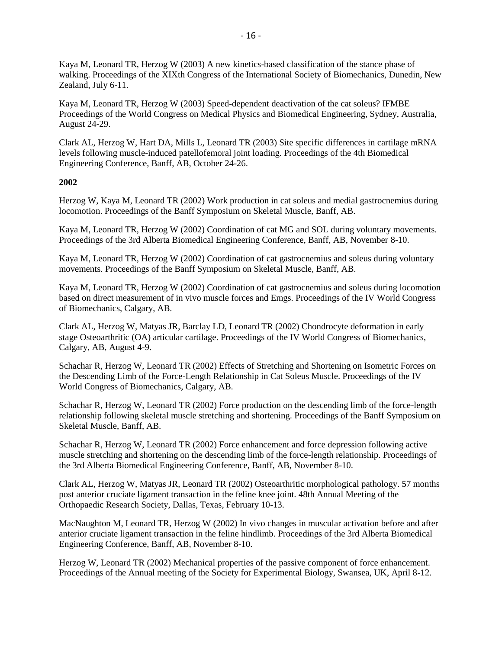Kaya M, Leonard TR, Herzog W (2003) A new kinetics-based classification of the stance phase of walking. Proceedings of the XIXth Congress of the International Society of Biomechanics, Dunedin, New Zealand, July 6-11.

Kaya M, Leonard TR, Herzog W (2003) Speed-dependent deactivation of the cat soleus? IFMBE Proceedings of the World Congress on Medical Physics and Biomedical Engineering, Sydney, Australia, August 24-29.

Clark AL, Herzog W, Hart DA, Mills L, Leonard TR (2003) Site specific differences in cartilage mRNA levels following muscle-induced patellofemoral joint loading. Proceedings of the 4th Biomedical Engineering Conference, Banff, AB, October 24-26.

# **2002**

Herzog W, Kaya M, Leonard TR (2002) Work production in cat soleus and medial gastrocnemius during locomotion. Proceedings of the Banff Symposium on Skeletal Muscle, Banff, AB.

Kaya M, Leonard TR, Herzog W (2002) Coordination of cat MG and SOL during voluntary movements. Proceedings of the 3rd Alberta Biomedical Engineering Conference, Banff, AB, November 8-10.

Kaya M, Leonard TR, Herzog W (2002) Coordination of cat gastrocnemius and soleus during voluntary movements. Proceedings of the Banff Symposium on Skeletal Muscle, Banff, AB.

Kaya M, Leonard TR, Herzog W (2002) Coordination of cat gastrocnemius and soleus during locomotion based on direct measurement of in vivo muscle forces and Emgs. Proceedings of the IV World Congress of Biomechanics, Calgary, AB.

Clark AL, Herzog W, Matyas JR, Barclay LD, Leonard TR (2002) Chondrocyte deformation in early stage Osteoarthritic (OA) articular cartilage. Proceedings of the IV World Congress of Biomechanics, Calgary, AB, August 4-9.

Schachar R, Herzog W, Leonard TR (2002) Effects of Stretching and Shortening on Isometric Forces on the Descending Limb of the Force-Length Relationship in Cat Soleus Muscle. Proceedings of the IV World Congress of Biomechanics, Calgary, AB.

Schachar R, Herzog W, Leonard TR (2002) Force production on the descending limb of the force-length relationship following skeletal muscle stretching and shortening. Proceedings of the Banff Symposium on Skeletal Muscle, Banff, AB.

Schachar R, Herzog W, Leonard TR (2002) Force enhancement and force depression following active muscle stretching and shortening on the descending limb of the force-length relationship. Proceedings of the 3rd Alberta Biomedical Engineering Conference, Banff, AB, November 8-10.

Clark AL, Herzog W, Matyas JR, Leonard TR (2002) Osteoarthritic morphological pathology. 57 months post anterior cruciate ligament transaction in the feline knee joint. 48th Annual Meeting of the Orthopaedic Research Society, Dallas, Texas, February 10-13.

MacNaughton M, Leonard TR, Herzog W (2002) In vivo changes in muscular activation before and after anterior cruciate ligament transaction in the feline hindlimb. Proceedings of the 3rd Alberta Biomedical Engineering Conference, Banff, AB, November 8-10.

Herzog W, Leonard TR (2002) Mechanical properties of the passive component of force enhancement. Proceedings of the Annual meeting of the Society for Experimental Biology, Swansea, UK, April 8-12.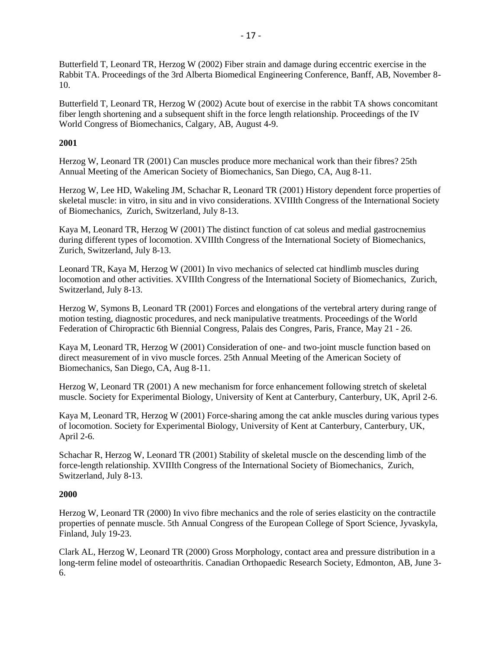Butterfield T, Leonard TR, Herzog W (2002) Fiber strain and damage during eccentric exercise in the Rabbit TA. Proceedings of the 3rd Alberta Biomedical Engineering Conference, Banff, AB, November 8- 10.

Butterfield T, Leonard TR, Herzog W (2002) Acute bout of exercise in the rabbit TA shows concomitant fiber length shortening and a subsequent shift in the force length relationship. Proceedings of the IV World Congress of Biomechanics, Calgary, AB, August 4-9.

# **2001**

Herzog W, Leonard TR (2001) Can muscles produce more mechanical work than their fibres? 25th Annual Meeting of the American Society of Biomechanics, San Diego, CA, Aug 8-11.

Herzog W, Lee HD, Wakeling JM, Schachar R, Leonard TR (2001) History dependent force properties of skeletal muscle: in vitro, in situ and in vivo considerations. XVIIIth Congress of the International Society of Biomechanics, Zurich, Switzerland, July 8-13.

Kaya M, Leonard TR, Herzog W (2001) The distinct function of cat soleus and medial gastrocnemius during different types of locomotion. XVIIIth Congress of the International Society of Biomechanics, Zurich, Switzerland, July 8-13.

Leonard TR, Kaya M, Herzog W (2001) In vivo mechanics of selected cat hindlimb muscles during locomotion and other activities. XVIIIth Congress of the International Society of Biomechanics, Zurich, Switzerland, July 8-13.

Herzog W, Symons B, Leonard TR (2001) Forces and elongations of the vertebral artery during range of motion testing, diagnostic procedures, and neck manipulative treatments. Proceedings of the World Federation of Chiropractic 6th Biennial Congress, Palais des Congres, Paris, France, May 21 - 26.

Kaya M, Leonard TR, Herzog W (2001) Consideration of one- and two-joint muscle function based on direct measurement of in vivo muscle forces. 25th Annual Meeting of the American Society of Biomechanics, San Diego, CA, Aug 8-11.

Herzog W, Leonard TR (2001) A new mechanism for force enhancement following stretch of skeletal muscle. Society for Experimental Biology, University of Kent at Canterbury, Canterbury, UK, April 2-6.

Kaya M, Leonard TR, Herzog W (2001) Force-sharing among the cat ankle muscles during various types of locomotion. Society for Experimental Biology, University of Kent at Canterbury, Canterbury, UK, April 2-6.

Schachar R, Herzog W, Leonard TR (2001) Stability of skeletal muscle on the descending limb of the force-length relationship. XVIIIth Congress of the International Society of Biomechanics, Zurich, Switzerland, July 8-13.

# **2000**

Herzog W, Leonard TR (2000) In vivo fibre mechanics and the role of series elasticity on the contractile properties of pennate muscle. 5th Annual Congress of the European College of Sport Science, Jyvaskyla, Finland, July 19-23.

Clark AL, Herzog W, Leonard TR (2000) Gross Morphology, contact area and pressure distribution in a long-term feline model of osteoarthritis. Canadian Orthopaedic Research Society, Edmonton, AB, June 3- 6.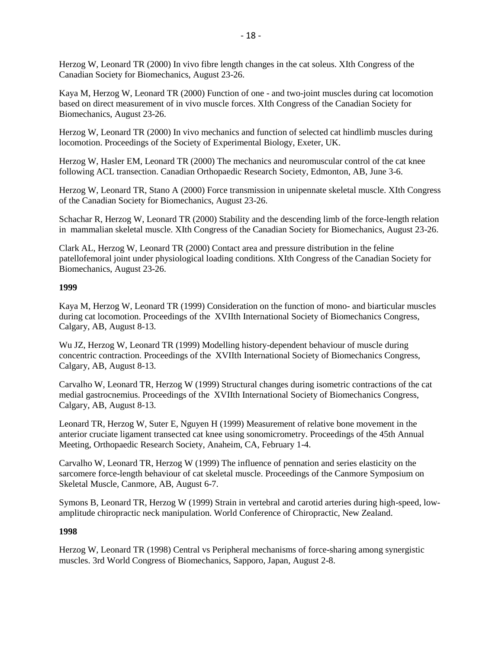Herzog W, Leonard TR (2000) In vivo fibre length changes in the cat soleus. XIth Congress of the Canadian Society for Biomechanics, August 23-26.

Kaya M, Herzog W, Leonard TR (2000) Function of one - and two-joint muscles during cat locomotion based on direct measurement of in vivo muscle forces. XIth Congress of the Canadian Society for Biomechanics, August 23-26.

Herzog W, Leonard TR (2000) In vivo mechanics and function of selected cat hindlimb muscles during locomotion. Proceedings of the Society of Experimental Biology, Exeter, UK.

Herzog W, Hasler EM, Leonard TR (2000) The mechanics and neuromuscular control of the cat knee following ACL transection. Canadian Orthopaedic Research Society, Edmonton, AB, June 3-6.

Herzog W, Leonard TR, Stano A (2000) Force transmission in unipennate skeletal muscle. XIth Congress of the Canadian Society for Biomechanics, August 23-26.

Schachar R, Herzog W, Leonard TR (2000) Stability and the descending limb of the force-length relation in mammalian skeletal muscle. XIth Congress of the Canadian Society for Biomechanics, August 23-26.

Clark AL, Herzog W, Leonard TR (2000) Contact area and pressure distribution in the feline patellofemoral joint under physiological loading conditions. XIth Congress of the Canadian Society for Biomechanics, August 23-26.

### **1999**

Kaya M, Herzog W, Leonard TR (1999) Consideration on the function of mono- and biarticular muscles during cat locomotion. Proceedings of the XVIIth International Society of Biomechanics Congress, Calgary, AB, August 8-13.

Wu JZ, Herzog W, Leonard TR (1999) Modelling history-dependent behaviour of muscle during concentric contraction. Proceedings of the XVIIth International Society of Biomechanics Congress, Calgary, AB, August 8-13.

Carvalho W, Leonard TR, Herzog W (1999) Structural changes during isometric contractions of the cat medial gastrocnemius. Proceedings of the XVIIth International Society of Biomechanics Congress, Calgary, AB, August 8-13.

Leonard TR, Herzog W, Suter E, Nguyen H (1999) Measurement of relative bone movement in the anterior cruciate ligament transected cat knee using sonomicrometry. Proceedings of the 45th Annual Meeting, Orthopaedic Research Society, Anaheim, CA, February 1-4.

Carvalho W, Leonard TR, Herzog W (1999) The influence of pennation and series elasticity on the sarcomere force-length behaviour of cat skeletal muscle. Proceedings of the Canmore Symposium on Skeletal Muscle, Canmore, AB, August 6-7.

Symons B, Leonard TR, Herzog W (1999) Strain in vertebral and carotid arteries during high-speed, lowamplitude chiropractic neck manipulation. World Conference of Chiropractic, New Zealand.

# **1998**

Herzog W, Leonard TR (1998) Central vs Peripheral mechanisms of force-sharing among synergistic muscles. 3rd World Congress of Biomechanics, Sapporo, Japan, August 2-8.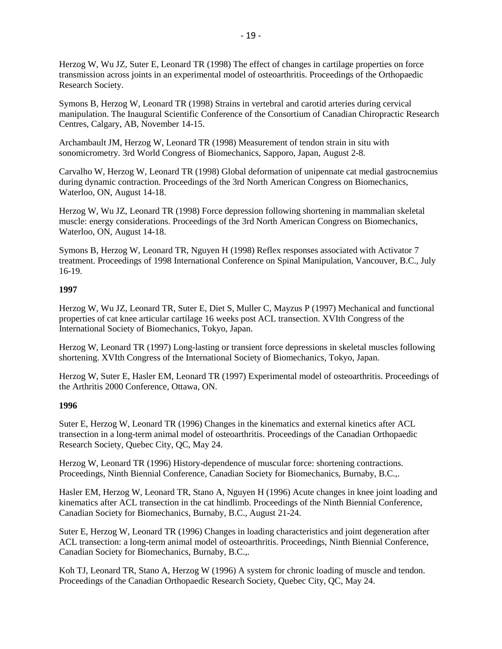Herzog W, Wu JZ, Suter E, Leonard TR (1998) The effect of changes in cartilage properties on force transmission across joints in an experimental model of osteoarthritis. Proceedings of the Orthopaedic Research Society.

Symons B, Herzog W, Leonard TR (1998) Strains in vertebral and carotid arteries during cervical manipulation. The Inaugural Scientific Conference of the Consortium of Canadian Chiropractic Research Centres, Calgary, AB, November 14-15.

Archambault JM, Herzog W, Leonard TR (1998) Measurement of tendon strain in situ with sonomicrometry. 3rd World Congress of Biomechanics, Sapporo, Japan, August 2-8.

Carvalho W, Herzog W, Leonard TR (1998) Global deformation of unipennate cat medial gastrocnemius during dynamic contraction. Proceedings of the 3rd North American Congress on Biomechanics, Waterloo, ON, August 14-18.

Herzog W, Wu JZ, Leonard TR (1998) Force depression following shortening in mammalian skeletal muscle: energy considerations. Proceedings of the 3rd North American Congress on Biomechanics, Waterloo, ON, August 14-18.

Symons B, Herzog W, Leonard TR, Nguyen H (1998) Reflex responses associated with Activator 7 treatment. Proceedings of 1998 International Conference on Spinal Manipulation, Vancouver, B.C., July 16-19.

# **1997**

Herzog W, Wu JZ, Leonard TR, Suter E, Diet S, Muller C, Mayzus P (1997) Mechanical and functional properties of cat knee articular cartilage 16 weeks post ACL transection. XVIth Congress of the International Society of Biomechanics, Tokyo, Japan.

Herzog W, Leonard TR (1997) Long-lasting or transient force depressions in skeletal muscles following shortening. XVIth Congress of the International Society of Biomechanics, Tokyo, Japan.

Herzog W, Suter E, Hasler EM, Leonard TR (1997) Experimental model of osteoarthritis. Proceedings of the Arthritis 2000 Conference, Ottawa, ON.

# **1996**

Suter E, Herzog W, Leonard TR (1996) Changes in the kinematics and external kinetics after ACL transection in a long-term animal model of osteoarthritis. Proceedings of the Canadian Orthopaedic Research Society, Quebec City, QC, May 24.

Herzog W, Leonard TR (1996) History-dependence of muscular force: shortening contractions. Proceedings, Ninth Biennial Conference, Canadian Society for Biomechanics, Burnaby, B.C.,.

Hasler EM, Herzog W, Leonard TR, Stano A, Nguyen H (1996) Acute changes in knee joint loading and kinematics after ACL transection in the cat hindlimb. Proceedings of the Ninth Biennial Conference, Canadian Society for Biomechanics, Burnaby, B.C., August 21-24.

Suter E, Herzog W, Leonard TR (1996) Changes in loading characteristics and joint degeneration after ACL transection: a long-term animal model of osteoarthritis. Proceedings, Ninth Biennial Conference, Canadian Society for Biomechanics, Burnaby, B.C.,.

Koh TJ, Leonard TR, Stano A, Herzog W (1996) A system for chronic loading of muscle and tendon. Proceedings of the Canadian Orthopaedic Research Society, Quebec City, QC, May 24.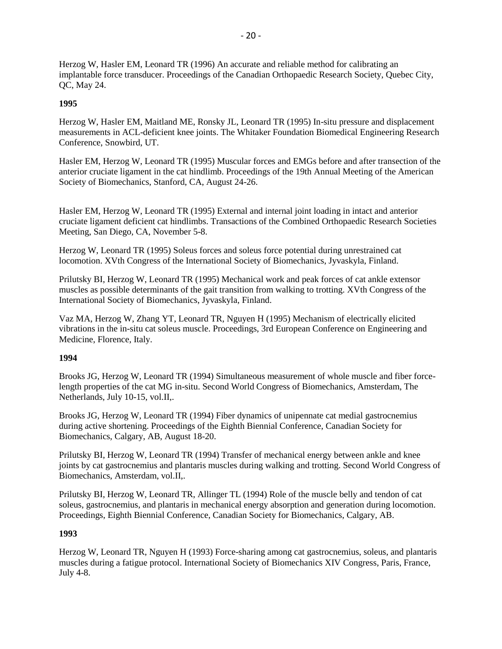Herzog W, Hasler EM, Leonard TR (1996) An accurate and reliable method for calibrating an implantable force transducer. Proceedings of the Canadian Orthopaedic Research Society, Quebec City, QC, May 24.

# **1995**

Herzog W, Hasler EM, Maitland ME, Ronsky JL, Leonard TR (1995) In-situ pressure and displacement measurements in ACL-deficient knee joints. The Whitaker Foundation Biomedical Engineering Research Conference, Snowbird, UT.

Hasler EM, Herzog W, Leonard TR (1995) Muscular forces and EMGs before and after transection of the anterior cruciate ligament in the cat hindlimb. Proceedings of the 19th Annual Meeting of the American Society of Biomechanics, Stanford, CA, August 24-26.

Hasler EM, Herzog W, Leonard TR (1995) External and internal joint loading in intact and anterior cruciate ligament deficient cat hindlimbs. Transactions of the Combined Orthopaedic Research Societies Meeting, San Diego, CA, November 5-8.

Herzog W, Leonard TR (1995) Soleus forces and soleus force potential during unrestrained cat locomotion. XVth Congress of the International Society of Biomechanics, Jyvaskyla, Finland.

Prilutsky BI, Herzog W, Leonard TR (1995) Mechanical work and peak forces of cat ankle extensor muscles as possible determinants of the gait transition from walking to trotting. XVth Congress of the International Society of Biomechanics, Jyvaskyla, Finland.

Vaz MA, Herzog W, Zhang YT, Leonard TR, Nguyen H (1995) Mechanism of electrically elicited vibrations in the in-situ cat soleus muscle. Proceedings, 3rd European Conference on Engineering and Medicine, Florence, Italy.

# **1994**

Brooks JG, Herzog W, Leonard TR (1994) Simultaneous measurement of whole muscle and fiber forcelength properties of the cat MG in-situ. Second World Congress of Biomechanics, Amsterdam, The Netherlands, July 10-15, vol.II,.

Brooks JG, Herzog W, Leonard TR (1994) Fiber dynamics of unipennate cat medial gastrocnemius during active shortening. Proceedings of the Eighth Biennial Conference, Canadian Society for Biomechanics, Calgary, AB, August 18-20.

Prilutsky BI, Herzog W, Leonard TR (1994) Transfer of mechanical energy between ankle and knee joints by cat gastrocnemius and plantaris muscles during walking and trotting. Second World Congress of Biomechanics, Amsterdam, vol.II,.

Prilutsky BI, Herzog W, Leonard TR, Allinger TL (1994) Role of the muscle belly and tendon of cat soleus, gastrocnemius, and plantaris in mechanical energy absorption and generation during locomotion. Proceedings, Eighth Biennial Conference, Canadian Society for Biomechanics, Calgary, AB.

# **1993**

Herzog W, Leonard TR, Nguyen H (1993) Force-sharing among cat gastrocnemius, soleus, and plantaris muscles during a fatigue protocol. International Society of Biomechanics XIV Congress, Paris, France, July 4-8.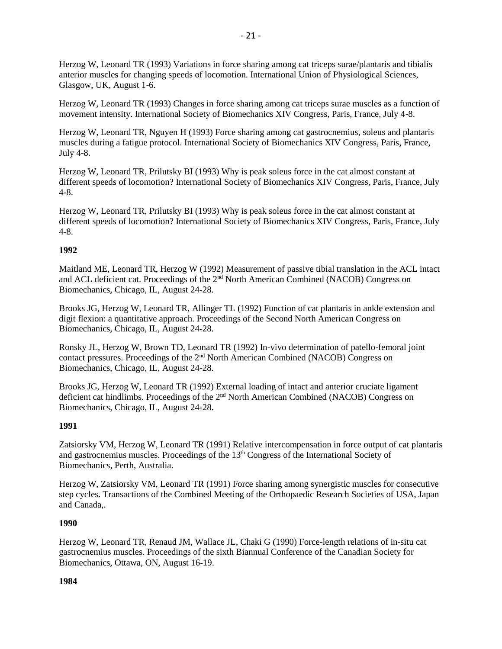Herzog W, Leonard TR (1993) Variations in force sharing among cat triceps surae/plantaris and tibialis anterior muscles for changing speeds of locomotion. International Union of Physiological Sciences, Glasgow, UK, August 1-6.

Herzog W, Leonard TR (1993) Changes in force sharing among cat triceps surae muscles as a function of movement intensity. International Society of Biomechanics XIV Congress, Paris, France, July 4-8.

Herzog W, Leonard TR, Nguyen H (1993) Force sharing among cat gastrocnemius, soleus and plantaris muscles during a fatigue protocol. International Society of Biomechanics XIV Congress, Paris, France, July 4-8.

Herzog W, Leonard TR, Prilutsky BI (1993) Why is peak soleus force in the cat almost constant at different speeds of locomotion? International Society of Biomechanics XIV Congress, Paris, France, July 4-8.

Herzog W, Leonard TR, Prilutsky BI (1993) Why is peak soleus force in the cat almost constant at different speeds of locomotion? International Society of Biomechanics XIV Congress, Paris, France, July 4-8.

# **1992**

Maitland ME, Leonard TR, Herzog W (1992) Measurement of passive tibial translation in the ACL intact and ACL deficient cat. Proceedings of the 2nd North American Combined (NACOB) Congress on Biomechanics, Chicago, IL, August 24-28.

Brooks JG, Herzog W, Leonard TR, Allinger TL (1992) Function of cat plantaris in ankle extension and digit flexion: a quantitative approach. Proceedings of the Second North American Congress on Biomechanics, Chicago, IL, August 24-28.

Ronsky JL, Herzog W, Brown TD, Leonard TR (1992) In-vivo determination of patello-femoral joint contact pressures. Proceedings of the 2nd North American Combined (NACOB) Congress on Biomechanics, Chicago, IL, August 24-28.

Brooks JG, Herzog W, Leonard TR (1992) External loading of intact and anterior cruciate ligament deficient cat hindlimbs. Proceedings of the 2<sup>nd</sup> North American Combined (NACOB) Congress on Biomechanics, Chicago, IL, August 24-28.

# **1991**

Zatsiorsky VM, Herzog W, Leonard TR (1991) Relative intercompensation in force output of cat plantaris and gastrocnemius muscles. Proceedings of the 13<sup>th</sup> Congress of the International Society of Biomechanics, Perth, Australia.

Herzog W, Zatsiorsky VM, Leonard TR (1991) Force sharing among synergistic muscles for consecutive step cycles. Transactions of the Combined Meeting of the Orthopaedic Research Societies of USA, Japan and Canada,.

# **1990**

Herzog W, Leonard TR, Renaud JM, Wallace JL, Chaki G (1990) Force-length relations of in-situ cat gastrocnemius muscles. Proceedings of the sixth Biannual Conference of the Canadian Society for Biomechanics, Ottawa, ON, August 16-19.

# **1984**